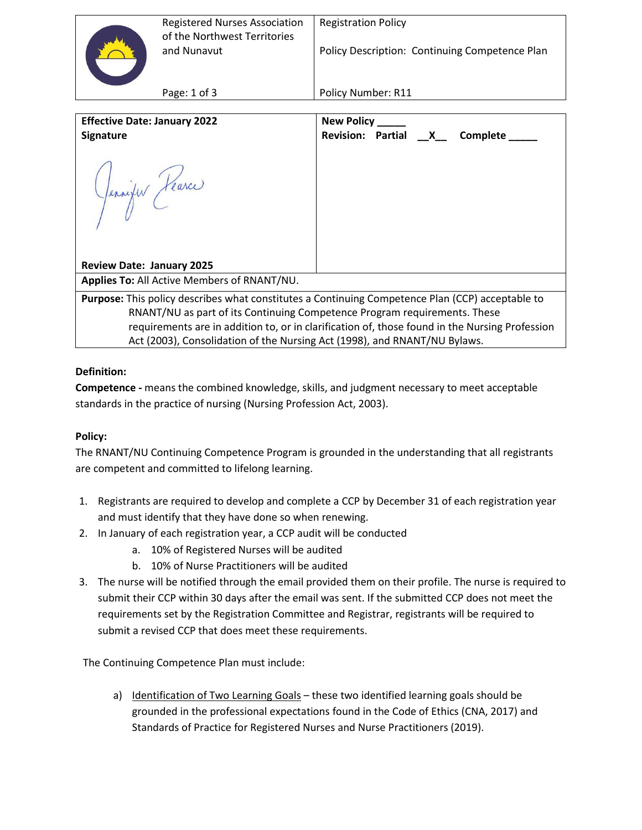| <b>Registered Nurses Association</b><br>of the Northwest Territories<br>and Nunavut | <b>Registration Policy</b><br>Policy Description: Continuing Competence Plan |
|-------------------------------------------------------------------------------------|------------------------------------------------------------------------------|
| Page: $1$ of $3$                                                                    | Policy Number: R11                                                           |

| <b>Effective Date: January 2022</b>                                                              | New Policy _____                       |  |  |
|--------------------------------------------------------------------------------------------------|----------------------------------------|--|--|
| <b>Signature</b>                                                                                 | Revision: Partial __X__ Complete _____ |  |  |
| Jennifer Fearce                                                                                  |                                        |  |  |
| <b>Review Date: January 2025</b>                                                                 |                                        |  |  |
| <b>Applies To: All Active Members of RNANT/NU.</b>                                               |                                        |  |  |
| Purpose: This policy describes what constitutes a Continuing Competence Plan (CCP) acceptable to |                                        |  |  |
| RNANT/NU as part of its Continuing Competence Program requirements. These                        |                                        |  |  |
| requirements are in addition to, or in clarification of, those found in the Nursing Profession   |                                        |  |  |
| Act (2003), Consolidation of the Nursing Act (1998), and RNANT/NU Bylaws.                        |                                        |  |  |

## **Definition:**

**Competence -** means the combined knowledge, skills, and judgment necessary to meet acceptable standards in the practice of nursing (Nursing Profession Act, 2003).

## **Policy:**

The RNANT/NU Continuing Competence Program is grounded in the understanding that all registrants are competent and committed to lifelong learning.

- 1. Registrants are required to develop and complete a CCP by December 31 of each registration year and must identify that they have done so when renewing.
- 2. In January of each registration year, a CCP audit will be conducted
	- a. 10% of Registered Nurses will be audited
	- b. 10% of Nurse Practitioners will be audited
- 3. The nurse will be notified through the email provided them on their profile. The nurse is required to submit their CCP within 30 days after the email was sent. If the submitted CCP does not meet the requirements set by the Registration Committee and Registrar, registrants will be required to submit a revised CCP that does meet these requirements.

The Continuing Competence Plan must include:

a) Identification of Two Learning Goals – these two identified learning goals should be grounded in the professional expectations found in the Code of Ethics (CNA, 2017) and Standards of Practice for Registered Nurses and Nurse Practitioners (2019).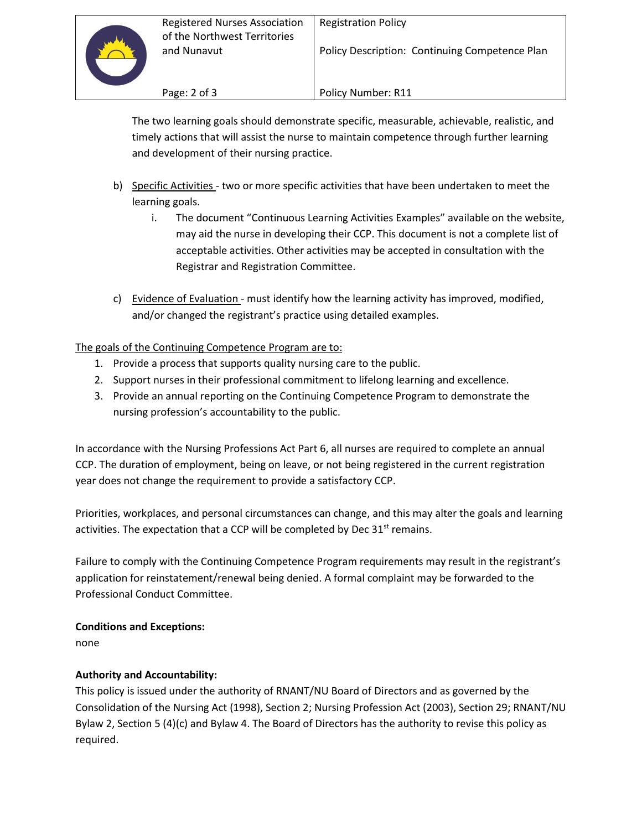

Policy Description: Continuing Competence Plan

Page: 2 of 3

Policy Number: R11

The two learning goals should demonstrate specific, measurable, achievable, realistic, and timely actions that will assist the nurse to maintain competence through further learning and development of their nursing practice.

- b) Specific Activities two or more specific activities that have been undertaken to meet the learning goals.
	- i. The document "Continuous Learning Activities Examples" available on the website, may aid the nurse in developing their CCP. This document is not a complete list of acceptable activities. Other activities may be accepted in consultation with the Registrar and Registration Committee.
- c) Evidence of Evaluation must identify how the learning activity has improved, modified, and/or changed the registrant's practice using detailed examples.

# The goals of the Continuing Competence Program are to:

- 1. Provide a process that supports quality nursing care to the public.
- 2. Support nurses in their professional commitment to lifelong learning and excellence.
- 3. Provide an annual reporting on the Continuing Competence Program to demonstrate the nursing profession's accountability to the public.

In accordance with the Nursing Professions Act Part 6, all nurses are required to complete an annual CCP. The duration of employment, being on leave, or not being registered in the current registration year does not change the requirement to provide a satisfactory CCP.

Priorities, workplaces, and personal circumstances can change, and this may alter the goals and learning activities. The expectation that a CCP will be completed by Dec  $31<sup>st</sup>$  remains.

Failure to comply with the Continuing Competence Program requirements may result in the registrant's application for reinstatement/renewal being denied. A formal complaint may be forwarded to the Professional Conduct Committee.

## **Conditions and Exceptions:**

none

## **Authority and Accountability:**

This policy is issued under the authority of RNANT/NU Board of Directors and as governed by the Consolidation of the Nursing Act (1998), Section 2; Nursing Profession Act (2003), Section 29; RNANT/NU Bylaw 2, Section 5 (4)(c) and Bylaw 4. The Board of Directors has the authority to revise this policy as required.